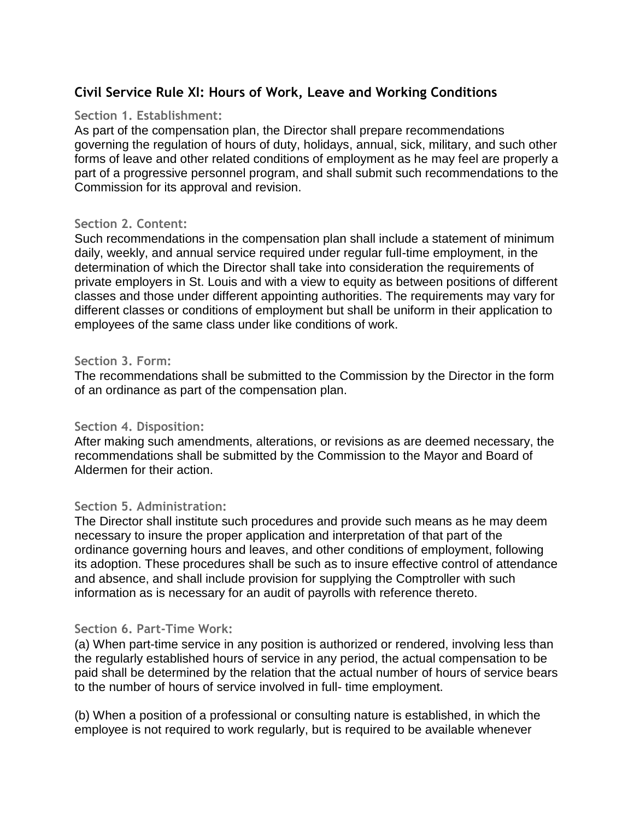# **Civil Service Rule XI: Hours of Work, Leave and Working Conditions**

#### **Section 1. Establishment:**

As part of the compensation plan, the Director shall prepare recommendations governing the regulation of hours of duty, holidays, annual, sick, military, and such other forms of leave and other related conditions of employment as he may feel are properly a part of a progressive personnel program, and shall submit such recommendations to the Commission for its approval and revision.

#### **Section 2. Content:**

Such recommendations in the compensation plan shall include a statement of minimum daily, weekly, and annual service required under regular full-time employment, in the determination of which the Director shall take into consideration the requirements of private employers in St. Louis and with a view to equity as between positions of different classes and those under different appointing authorities. The requirements may vary for different classes or conditions of employment but shall be uniform in their application to employees of the same class under like conditions of work.

## **Section 3. Form:**

The recommendations shall be submitted to the Commission by the Director in the form of an ordinance as part of the compensation plan.

## **Section 4. Disposition:**

After making such amendments, alterations, or revisions as are deemed necessary, the recommendations shall be submitted by the Commission to the Mayor and Board of Aldermen for their action.

## **Section 5. Administration:**

The Director shall institute such procedures and provide such means as he may deem necessary to insure the proper application and interpretation of that part of the ordinance governing hours and leaves, and other conditions of employment, following its adoption. These procedures shall be such as to insure effective control of attendance and absence, and shall include provision for supplying the Comptroller with such information as is necessary for an audit of payrolls with reference thereto.

#### **Section 6. Part-Time Work:**

(a) When part-time service in any position is authorized or rendered, involving less than the regularly established hours of service in any period, the actual compensation to be paid shall be determined by the relation that the actual number of hours of service bears to the number of hours of service involved in full- time employment.

(b) When a position of a professional or consulting nature is established, in which the employee is not required to work regularly, but is required to be available whenever